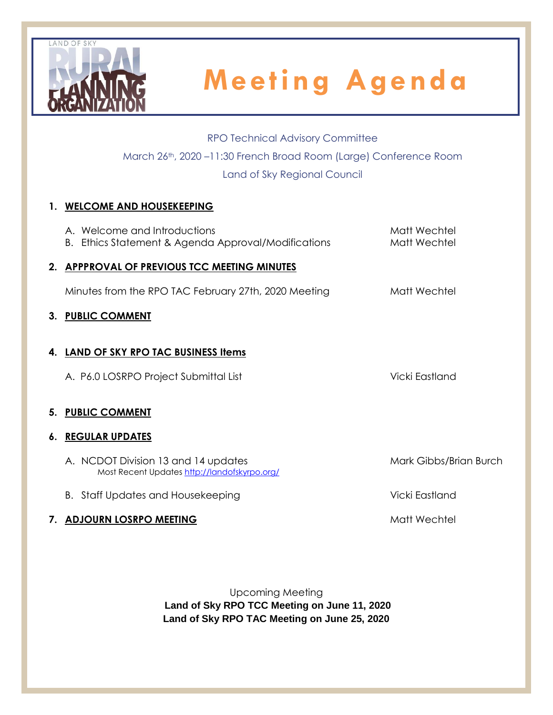

RPO Technical Advisory Committee March 26th, 2020 –11:30 French Broad Room (Large) Conference Room Land of Sky Regional Council

## **1. WELCOME AND HOUSEKEEPING**

| A. Welcome and Introductions<br>B. Ethics Statement & Agenda Approval/Modifications | Matt Wechtel<br>Matt Wechtel |
|-------------------------------------------------------------------------------------|------------------------------|
| 2. APPPROVAL OF PREVIOUS TCC MEETING MINUTES                                        |                              |
| Minutes from the RPO TAC February 27th, 2020 Meeting                                | Matt Wechtel                 |
| 3. PUBLIC COMMENT                                                                   |                              |
| 4. LAND OF SKY RPO TAC BUSINESS Items                                               |                              |
| A. P6.0 LOSRPO Project Submittal List                                               | Vicki Eastland               |
| 5. PUBLIC COMMENT                                                                   |                              |
| <b>6. REGULAR UPDATES</b>                                                           |                              |
| A. NCDOT Division 13 and 14 updates<br>Most Recent Updates http://landofskyrpo.org/ | Mark Gibbs/Brian Burch       |
| <b>B.</b> Staff Updates and Housekeeping                                            | Vicki Eastland               |
|                                                                                     |                              |

**7. ADJOURN LOSRPO MEETING Matt Wechtel** 

Upcoming Meeting **Land of Sky RPO TCC Meeting on June 11, 2020 Land of Sky RPO TAC Meeting on June 25, 2020**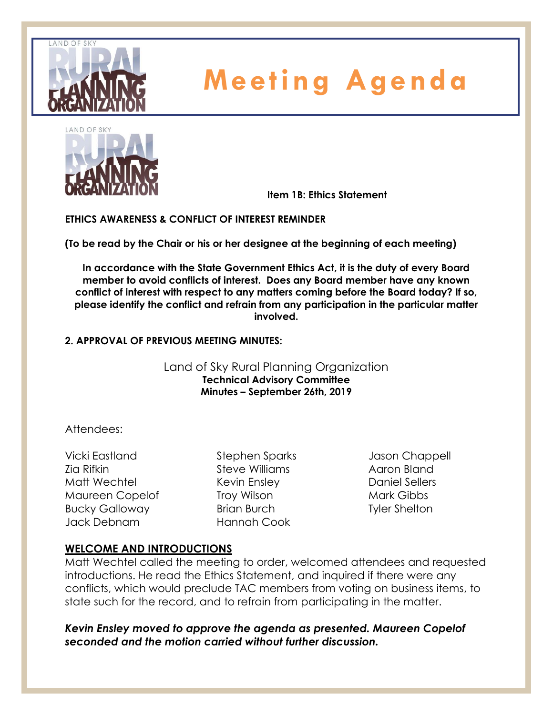



**Item 1B: Ethics Statement**

**ETHICS AWARENESS & CONFLICT OF INTEREST REMINDER** 

**(To be read by the Chair or his or her designee at the beginning of each meeting)** 

**In accordance with the State Government Ethics Act, it is the duty of every Board member to avoid conflicts of interest. Does any Board member have any known conflict of interest with respect to any matters coming before the Board today? If so, please identify the conflict and refrain from any participation in the particular matter involved.**

### **2. APPROVAL OF PREVIOUS MEETING MINUTES:**

### Land of Sky Rural Planning Organization **Technical Advisory Committee Minutes – September 26th, 2019**

### Attendees:

Vicki Eastland Zia Rifkin Matt Wechtel Maureen Copelof Bucky Galloway Jack Debnam

Stephen Sparks Steve Williams Kevin Ensley Troy Wilson Brian Burch Hannah Cook

Jason Chappell Aaron Bland Daniel Sellers Mark Gibbs Tyler Shelton

### **WELCOME AND INTRODUCTIONS**

Matt Wechtel called the meeting to order, welcomed attendees and requested introductions. He read the Ethics Statement, and inquired if there were any conflicts, which would preclude TAC members from voting on business items, to state such for the record, and to refrain from participating in the matter.

*Kevin Ensley moved to approve the agenda as presented. Maureen Copelof seconded and the motion carried without further discussion.*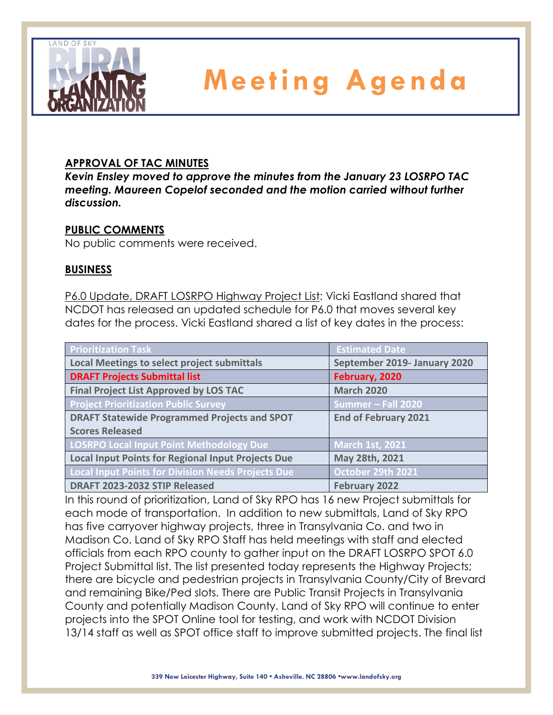

## **APPROVAL OF TAC MINUTES**

*Kevin Ensley moved to approve the minutes from the January 23 LOSRPO TAC meeting. Maureen Copelof seconded and the motion carried without further discussion.*

## **PUBLIC COMMENTS**

No public comments were received.

## **BUSINESS**

P6.0 Update, DRAFT LOSRPO Highway Project List: Vicki Eastland shared that NCDOT has released an updated schedule for P6.0 that moves several key dates for the process. Vicki Eastland shared a list of key dates in the process:

| <b>Prioritization Task</b>                                | <b>Estimated Date</b>        |
|-----------------------------------------------------------|------------------------------|
| <b>Local Meetings to select project submittals</b>        | September 2019- January 2020 |
| <b>DRAFT Projects Submittal list</b>                      | February, 2020               |
| <b>Final Project List Approved by LOS TAC</b>             | <b>March 2020</b>            |
| <b>Project Prioritization Public Survey</b>               | Summer - Fall 2020           |
| <b>DRAFT Statewide Programmed Projects and SPOT</b>       | <b>End of February 2021</b>  |
| <b>Scores Released</b>                                    |                              |
| <b>LOSRPO Local Input Point Methodology Due</b>           | <b>March 1st, 2021</b>       |
| <b>Local Input Points for Regional Input Projects Due</b> | May 28th, 2021               |
| <b>Local Input Points for Division Needs Projects Due</b> | October 29th 2021            |
| DRAFT 2023-2032 STIP Released                             | <b>February 2022</b>         |

In this round of prioritization, Land of Sky RPO has 16 new Project submittals for each mode of transportation. In addition to new submittals, Land of Sky RPO has five carryover highway projects, three in Transylvania Co. and two in Madison Co. Land of Sky RPO Staff has held meetings with staff and elected officials from each RPO county to gather input on the DRAFT LOSRPO SPOT 6.0 Project Submittal list. The list presented today represents the Highway Projects; there are bicycle and pedestrian projects in Transylvania County/City of Brevard and remaining Bike/Ped slots. There are Public Transit Projects in Transylvania County and potentially Madison County. Land of Sky RPO will continue to enter projects into the SPOT Online tool for testing, and work with NCDOT Division 13/14 staff as well as SPOT office staff to improve submitted projects. The final list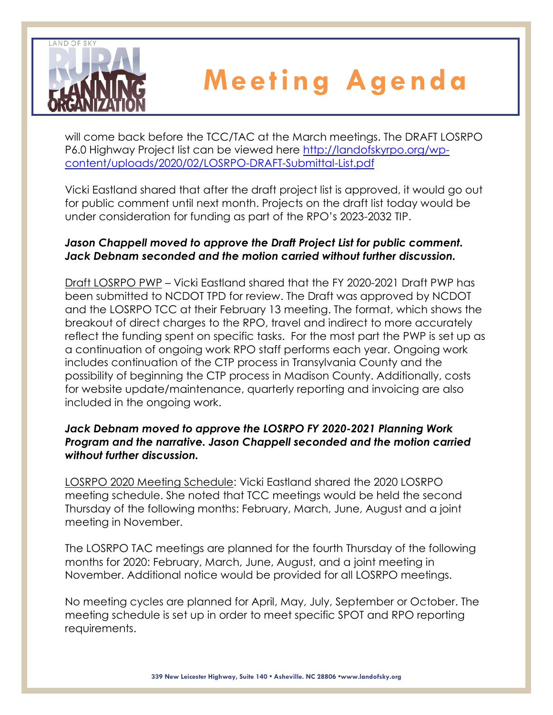

will come back before the TCC/TAC at the March meetings. The DRAFT LOSRPO P6.0 Highway Project list can be viewed here [http://landofskyrpo.org/wp](http://landofskyrpo.org/wp-content/uploads/2020/02/LOSRPO-DRAFT-Submittal-List.pdf)[content/uploads/2020/02/LOSRPO-DRAFT-Submittal-List.pdf](http://landofskyrpo.org/wp-content/uploads/2020/02/LOSRPO-DRAFT-Submittal-List.pdf)

Vicki Eastland shared that after the draft project list is approved, it would go out for public comment until next month. Projects on the draft list today would be under consideration for funding as part of the RPO's 2023-2032 TIP.

## *Jason Chappell moved to approve the Draft Project List for public comment. Jack Debnam seconded and the motion carried without further discussion.*

Draft LOSRPO PWP – Vicki Eastland shared that the FY 2020-2021 Draft PWP has been submitted to NCDOT TPD for review. The Draft was approved by NCDOT and the LOSRPO TCC at their February 13 meeting. The format, which shows the breakout of direct charges to the RPO, travel and indirect to more accurately reflect the funding spent on specific tasks. For the most part the PWP is set up as a continuation of ongoing work RPO staff performs each year. Ongoing work includes continuation of the CTP process in Transylvania County and the possibility of beginning the CTP process in Madison County. Additionally, costs for website update/maintenance, quarterly reporting and invoicing are also included in the ongoing work.

## *Jack Debnam moved to approve the LOSRPO FY 2020-2021 Planning Work Program and the narrative. Jason Chappell seconded and the motion carried without further discussion.*

LOSRPO 2020 Meeting Schedule: Vicki Eastland shared the 2020 LOSRPO meeting schedule. She noted that TCC meetings would be held the second Thursday of the following months: February, March, June, August and a joint meeting in November.

The LOSRPO TAC meetings are planned for the fourth Thursday of the following months for 2020: February, March, June, August, and a joint meeting in November. Additional notice would be provided for all LOSRPO meetings.

No meeting cycles are planned for April, May, July, September or October. The meeting schedule is set up in order to meet specific SPOT and RPO reporting requirements.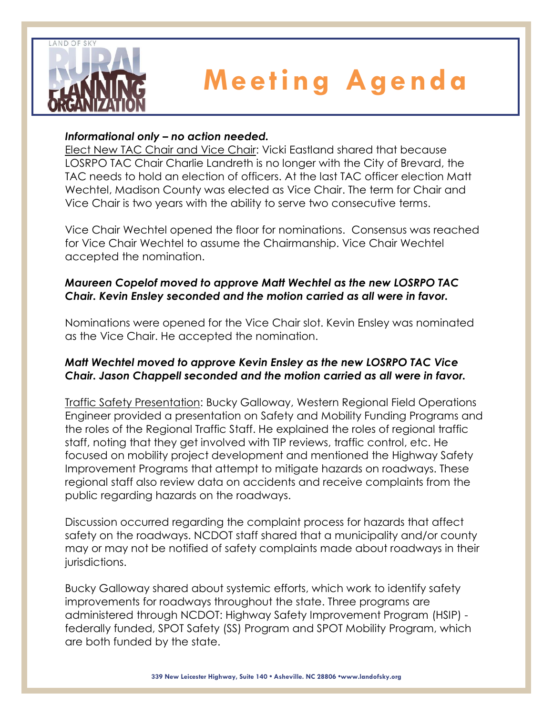

## *Informational only – no action needed.*

Elect New TAC Chair and Vice Chair: Vicki Eastland shared that because LOSRPO TAC Chair Charlie Landreth is no longer with the City of Brevard, the TAC needs to hold an election of officers. At the last TAC officer election Matt Wechtel, Madison County was elected as Vice Chair. The term for Chair and Vice Chair is two years with the ability to serve two consecutive terms.

Vice Chair Wechtel opened the floor for nominations. Consensus was reached for Vice Chair Wechtel to assume the Chairmanship. Vice Chair Wechtel accepted the nomination.

## *Maureen Copelof moved to approve Matt Wechtel as the new LOSRPO TAC Chair. Kevin Ensley seconded and the motion carried as all were in favor.*

Nominations were opened for the Vice Chair slot. Kevin Ensley was nominated as the Vice Chair. He accepted the nomination.

## *Matt Wechtel moved to approve Kevin Ensley as the new LOSRPO TAC Vice Chair. Jason Chappell seconded and the motion carried as all were in favor.*

Traffic Safety Presentation: Bucky Galloway, Western Regional Field Operations Engineer provided a presentation on Safety and Mobility Funding Programs and the roles of the Regional Traffic Staff. He explained the roles of regional traffic staff, noting that they get involved with TIP reviews, traffic control, etc. He focused on mobility project development and mentioned the Highway Safety Improvement Programs that attempt to mitigate hazards on roadways. These regional staff also review data on accidents and receive complaints from the public regarding hazards on the roadways.

Discussion occurred regarding the complaint process for hazards that affect safety on the roadways. NCDOT staff shared that a municipality and/or county may or may not be notified of safety complaints made about roadways in their jurisdictions.

Bucky Galloway shared about systemic efforts, which work to identify safety improvements for roadways throughout the state. Three programs are administered through NCDOT: Highway Safety Improvement Program (HSIP) federally funded, SPOT Safety (SS) Program and SPOT Mobility Program, which are both funded by the state.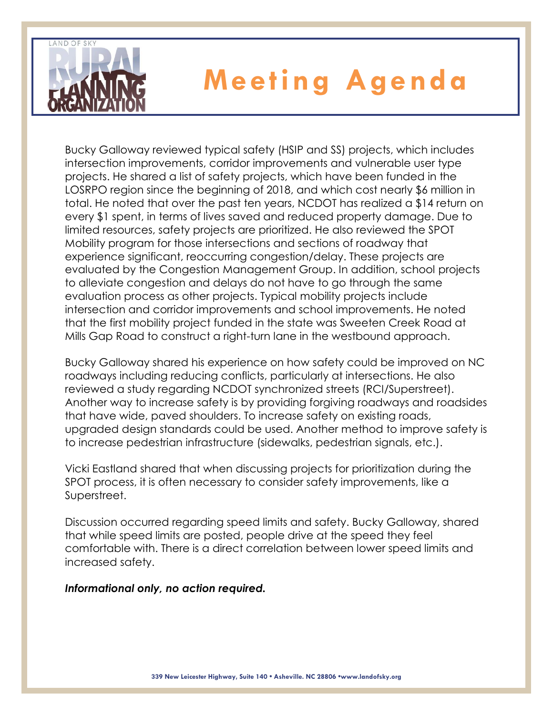

Bucky Galloway reviewed typical safety (HSIP and SS) projects, which includes intersection improvements, corridor improvements and vulnerable user type projects. He shared a list of safety projects, which have been funded in the LOSRPO region since the beginning of 2018, and which cost nearly \$6 million in total. He noted that over the past ten years, NCDOT has realized a \$14 return on every \$1 spent, in terms of lives saved and reduced property damage. Due to limited resources, safety projects are prioritized. He also reviewed the SPOT Mobility program for those intersections and sections of roadway that experience significant, reoccurring congestion/delay. These projects are evaluated by the Congestion Management Group. In addition, school projects to alleviate congestion and delays do not have to go through the same evaluation process as other projects. Typical mobility projects include intersection and corridor improvements and school improvements. He noted that the first mobility project funded in the state was Sweeten Creek Road at Mills Gap Road to construct a right-turn lane in the westbound approach.

Bucky Galloway shared his experience on how safety could be improved on NC roadways including reducing conflicts, particularly at intersections. He also reviewed a study regarding NCDOT synchronized streets (RCI/Superstreet). Another way to increase safety is by providing forgiving roadways and roadsides that have wide, paved shoulders. To increase safety on existing roads, upgraded design standards could be used. Another method to improve safety is to increase pedestrian infrastructure (sidewalks, pedestrian signals, etc.).

Vicki Eastland shared that when discussing projects for prioritization during the SPOT process, it is often necessary to consider safety improvements, like a Superstreet.

Discussion occurred regarding speed limits and safety. Bucky Galloway, shared that while speed limits are posted, people drive at the speed they feel comfortable with. There is a direct correlation between lower speed limits and increased safety.

### *Informational only, no action required.*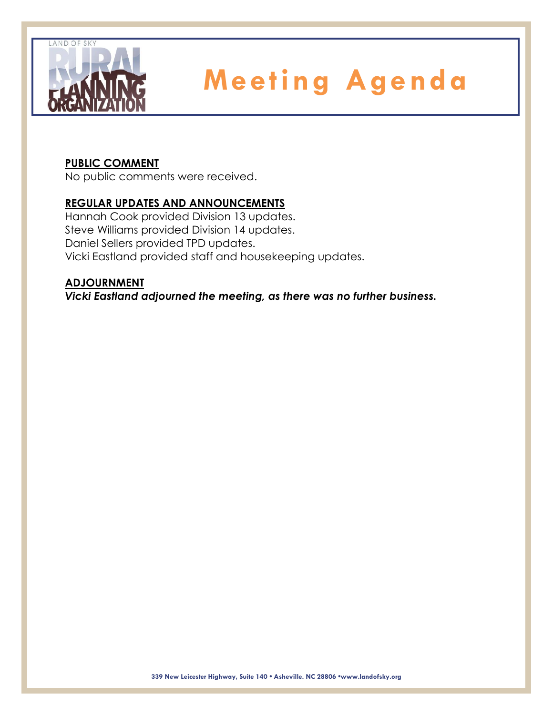

## **PUBLIC COMMENT**

No public comments were received.

## **REGULAR UPDATES AND ANNOUNCEMENTS**

Hannah Cook provided Division 13 updates. Steve Williams provided Division 14 updates. Daniel Sellers provided TPD updates. Vicki Eastland provided staff and housekeeping updates.

### **ADJOURNMENT**

*Vicki Eastland adjourned the meeting, as there was no further business.*